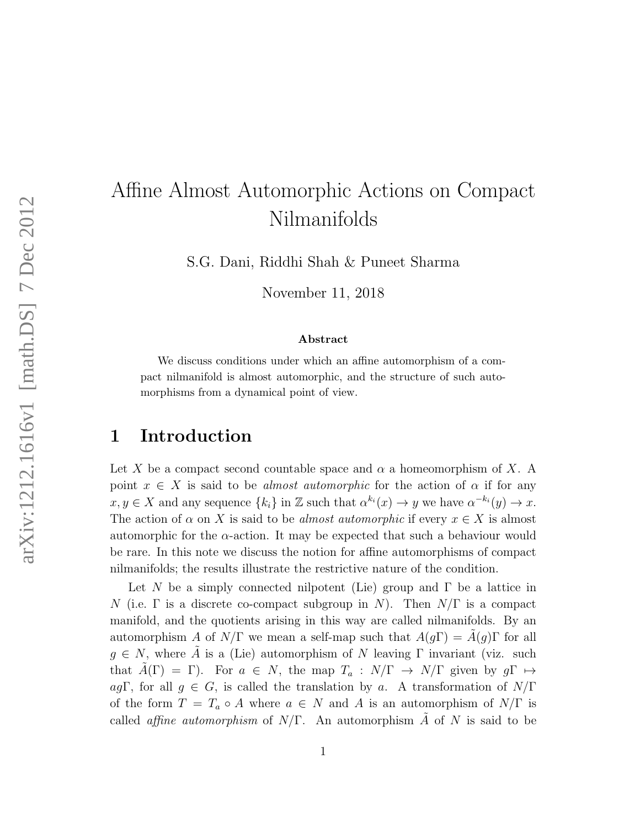# Affine Almost Automorphic Actions on Compact Nilmanifolds

S.G. Dani, Riddhi Shah & Puneet Sharma

November 11, 2018

#### Abstract

We discuss conditions under which an affine automorphism of a compact nilmanifold is almost automorphic, and the structure of such automorphisms from a dynamical point of view.

#### 1 Introduction

Let X be a compact second countable space and  $\alpha$  a homeomorphism of X. A point  $x \in X$  is said to be *almost automorphic* for the action of  $\alpha$  if for any  $x, y \in X$  and any sequence  $\{k_i\}$  in  $\mathbb Z$  such that  $\alpha^{k_i}(x) \to y$  we have  $\alpha^{-k_i}(y) \to x$ . The action of  $\alpha$  on X is said to be *almost automorphic* if every  $x \in X$  is almost automorphic for the  $\alpha$ -action. It may be expected that such a behaviour would be rare. In this note we discuss the notion for affine automorphisms of compact nilmanifolds; the results illustrate the restrictive nature of the condition.

Let N be a simply connected nilpotent (Lie) group and  $\Gamma$  be a lattice in N (i.e.  $\Gamma$  is a discrete co-compact subgroup in N). Then  $N/\Gamma$  is a compact manifold, and the quotients arising in this way are called nilmanifolds. By an automorphism A of  $N/\Gamma$  we mean a self-map such that  $A(q\Gamma) = A(q)\Gamma$  for all  $g \in N$ , where  $\tilde{A}$  is a (Lie) automorphism of N leaving  $\Gamma$  invariant (viz. such that  $\tilde{A}(\Gamma) = \Gamma$ ). For  $a \in N$ , the map  $T_a : N/\Gamma \to N/\Gamma$  given by  $g\Gamma \mapsto$ agΓ, for all  $g \in G$ , is called the translation by a. A transformation of  $N/\Gamma$ of the form  $T = T_a \circ A$  where  $a \in N$  and A is an automorphism of  $N/\Gamma$  is called *affine automorphism* of  $N/\Gamma$ . An automorphism A of N is said to be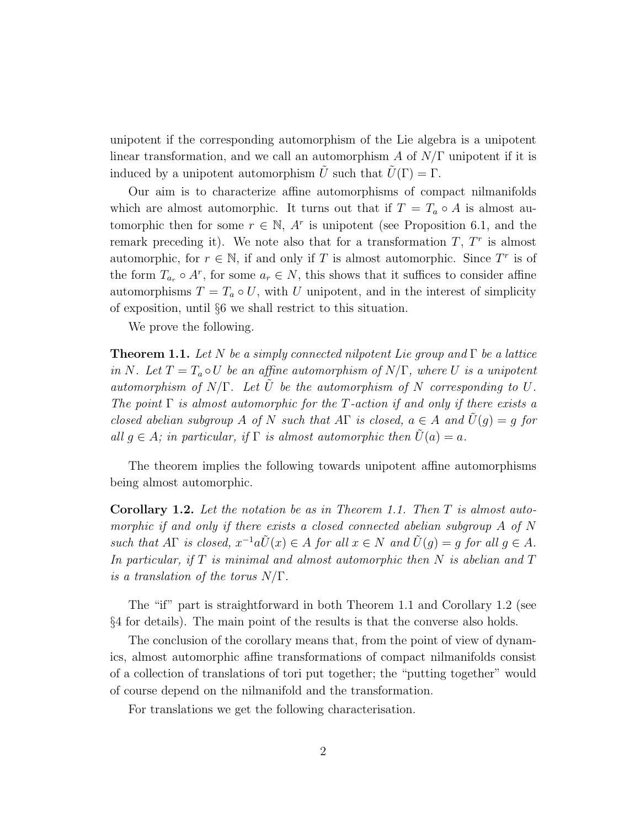unipotent if the corresponding automorphism of the Lie algebra is a unipotent linear transformation, and we call an automorphism A of  $N/\Gamma$  unipotent if it is induced by a unipotent automorphism U such that  $U(\Gamma) = \Gamma$ .

Our aim is to characterize affine automorphisms of compact nilmanifolds which are almost automorphic. It turns out that if  $T = T_a \circ A$  is almost automorphic then for some  $r \in \mathbb{N}$ , A<sup>r</sup> is unipotent (see Proposition 6.1, and the remark preceding it). We note also that for a transformation  $T, T^r$  is almost automorphic, for  $r \in \mathbb{N}$ , if and only if T is almost automorphic. Since  $T^r$  is of the form  $T_{a_r} \circ A^r$ , for some  $a_r \in N$ , this shows that it suffices to consider affine automorphisms  $T = T_a \circ U$ , with U unipotent, and in the interest of simplicity of exposition, until §6 we shall restrict to this situation.

We prove the following.

**Theorem 1.1.** Let N be a simply connected nilpotent Lie group and  $\Gamma$  be a lattice in N. Let  $T = T_a \circ U$  be an affine automorphism of  $N/\Gamma$ , where U is a unipotent automorphism of  $N/\Gamma$ . Let  $\tilde{U}$  be the automorphism of N corresponding to U. The point  $\Gamma$  is almost automorphic for the T-action if and only if there exists a closed abelian subgroup A of N such that A $\Gamma$  is closed,  $a \in A$  and  $\tilde{U}(q) = q$  for all  $q \in A$ ; in particular, if  $\Gamma$  is almost automorphic then  $\tilde{U}(a) = a$ .

The theorem implies the following towards unipotent affine automorphisms being almost automorphic.

Corollary 1.2. Let the notation be as in Theorem 1.1. Then T is almost automorphic if and only if there exists a closed connected abelian subgroup A of N such that  $A\Gamma$  is closed,  $x^{-1}a\tilde{U}(x) \in A$  for all  $x \in N$  and  $\tilde{U}(g) = g$  for all  $g \in A$ . In particular, if  $T$  is minimal and almost automorphic then  $N$  is abelian and  $T$ is a translation of the torus  $N/\Gamma$ .

The "if" part is straightforward in both Theorem 1.1 and Corollary 1.2 (see §4 for details). The main point of the results is that the converse also holds.

The conclusion of the corollary means that, from the point of view of dynamics, almost automorphic affine transformations of compact nilmanifolds consist of a collection of translations of tori put together; the "putting together" would of course depend on the nilmanifold and the transformation.

For translations we get the following characterisation.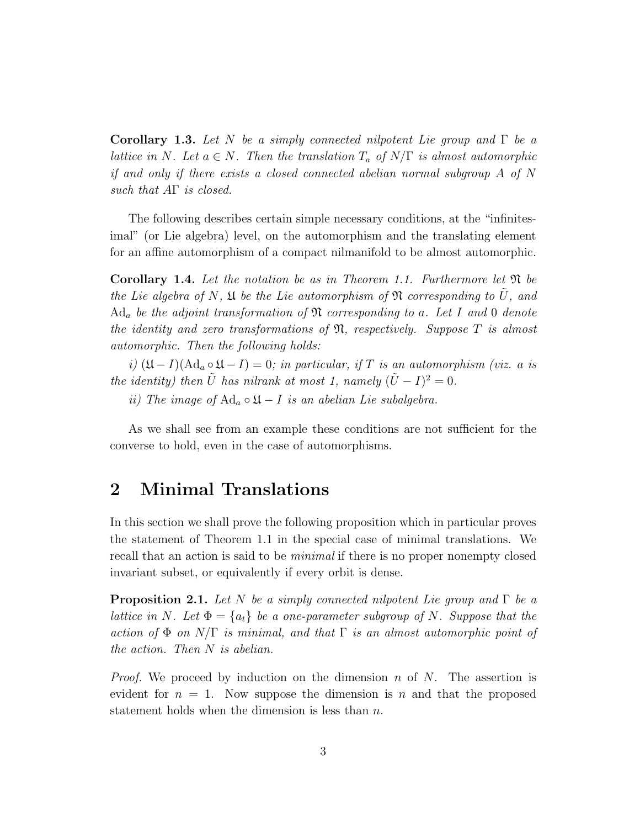**Corollary 1.3.** Let N be a simply connected nilpotent Lie group and  $\Gamma$  be a lattice in N. Let  $a \in N$ . Then the translation  $T_a$  of  $N/\Gamma$  is almost automorphic if and only if there exists a closed connected abelian normal subgroup A of N such that  $A\Gamma$  is closed.

The following describes certain simple necessary conditions, at the "infinitesimal" (or Lie algebra) level, on the automorphism and the translating element for an affine automorphism of a compact nilmanifold to be almost automorphic.

**Corollary 1.4.** Let the notation be as in Theorem 1.1. Furthermore let  $\mathfrak{N}$  be the Lie algebra of N,  $\mathfrak U$  be the Lie automorphism of  $\mathfrak N$  corresponding to  $\tilde U$ , and  $\text{Ad}_a$  be the adjoint transformation of  $\mathfrak N$  corresponding to a. Let I and 0 denote the identity and zero transformations of  $\mathfrak{N}$ , respectively. Suppose T is almost automorphic. Then the following holds:

i)  $(\mathfrak{U} - I)(\text{Ad}_a \circ \mathfrak{U} - I) = 0$ ; in particular, if T is an automorphism (viz. a is the identity) then  $\tilde{U}$  has nilrank at most 1, namely  $(\tilde{U} - I)^2 = 0$ .

ii) The image of  $\operatorname{Ad}_a \circ \mathfrak{U} - I$  is an abelian Lie subalgebra.

As we shall see from an example these conditions are not sufficient for the converse to hold, even in the case of automorphisms.

#### 2 Minimal Translations

In this section we shall prove the following proposition which in particular proves the statement of Theorem 1.1 in the special case of minimal translations. We recall that an action is said to be minimal if there is no proper nonempty closed invariant subset, or equivalently if every orbit is dense.

**Proposition 2.1.** Let N be a simply connected nilpotent Lie group and  $\Gamma$  be a lattice in N. Let  $\Phi = \{a_t\}$  be a one-parameter subgroup of N. Suppose that the action of  $\Phi$  on  $N/\Gamma$  is minimal, and that  $\Gamma$  is an almost automorphic point of the action. Then N is abelian.

*Proof.* We proceed by induction on the dimension n of N. The assertion is evident for  $n = 1$ . Now suppose the dimension is n and that the proposed statement holds when the dimension is less than  $n$ .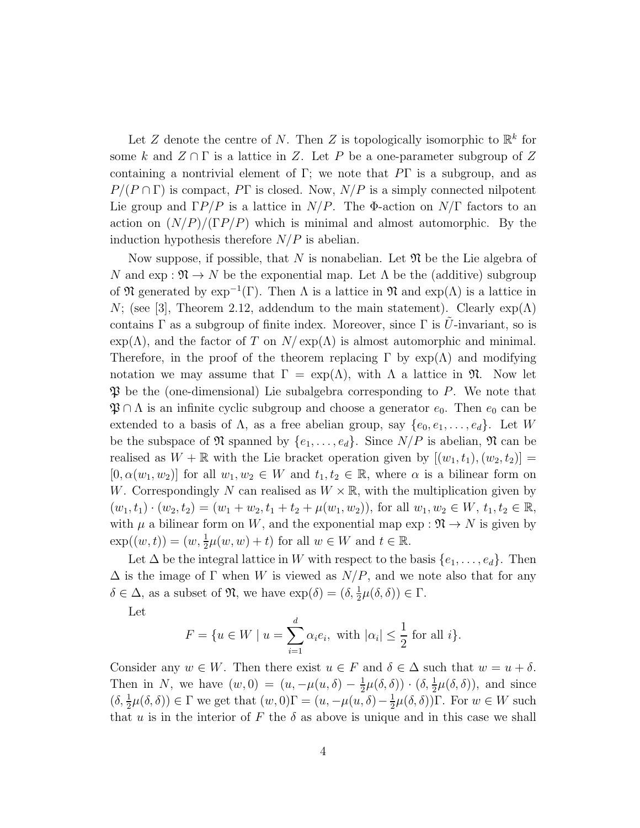Let Z denote the centre of N. Then Z is topologically isomorphic to  $\mathbb{R}^k$  for some k and  $Z \cap \Gamma$  is a lattice in Z. Let P be a one-parameter subgroup of Z containing a nontrivial element of Γ; we note that  $\overline{P}\Gamma$  is a subgroup, and as  $P/(P \cap \Gamma)$  is compact, PT is closed. Now,  $N/P$  is a simply connected nilpotent Lie group and  $\Gamma P/P$  is a lattice in  $N/P$ . The Φ-action on  $N/\Gamma$  factors to an action on  $(N/P)/(TP/P)$  which is minimal and almost automorphic. By the induction hypothesis therefore  $N/P$  is abelian.

Now suppose, if possible, that N is nonabelian. Let  $\mathfrak N$  be the Lie algebra of N and  $\exp : \mathfrak{N} \to N$  be the exponential map. Let  $\Lambda$  be the (additive) subgroup of  $\mathfrak N$  generated by  $\exp^{-1}(\Gamma)$ . Then  $\Lambda$  is a lattice in  $\mathfrak N$  and  $\exp(\Lambda)$  is a lattice in N; (see [3], Theorem 2.12, addendum to the main statement). Clearly  $\exp(\Lambda)$ contains  $\Gamma$  as a subgroup of finite index. Moreover, since  $\Gamma$  is U-invariant, so is  $\exp(\Lambda)$ , and the factor of T on  $N/\exp(\Lambda)$  is almost automorphic and minimal. Therefore, in the proof of the theorem replacing  $\Gamma$  by  $\exp(\Lambda)$  and modifying notation we may assume that  $\Gamma = \exp(\Lambda)$ , with  $\Lambda$  a lattice in  $\mathfrak{N}$ . Now let  $\mathfrak P$  be the (one-dimensional) Lie subalgebra corresponding to P. We note that  $\mathfrak{P} \cap \Lambda$  is an infinite cyclic subgroup and choose a generator  $e_0$ . Then  $e_0$  can be extended to a basis of  $\Lambda$ , as a free abelian group, say  $\{e_0, e_1, \ldots, e_d\}$ . Let W be the subspace of  $\mathfrak N$  spanned by  $\{e_1,\ldots,e_d\}$ . Since  $N/P$  is abelian,  $\mathfrak N$  can be realised as  $W + \mathbb{R}$  with the Lie bracket operation given by  $[(w_1, t_1), (w_2, t_2)] =$  $[0, \alpha(w_1, w_2)]$  for all  $w_1, w_2 \in W$  and  $t_1, t_2 \in \mathbb{R}$ , where  $\alpha$  is a bilinear form on W. Correspondingly N can realised as  $W \times \mathbb{R}$ , with the multiplication given by  $(w_1, t_1) \cdot (w_2, t_2) = (w_1 + w_2, t_1 + t_2 + \mu(w_1, w_2)),$  for all  $w_1, w_2 \in W$ ,  $t_1, t_2 \in \mathbb{R}$ , with  $\mu$  a bilinear form on W, and the exponential map  $\exp : \mathfrak{N} \to N$  is given by  $\exp((w,t)) = (w, \frac{1}{2}\mu(w, w) + t)$  for all  $w \in W$  and  $t \in \mathbb{R}$ .

Let  $\Delta$  be the integral lattice in W with respect to the basis  $\{e_1, \ldots, e_d\}$ . Then  $\Delta$  is the image of  $\Gamma$  when W is viewed as  $N/P$ , and we note also that for any  $\delta \in \Delta$ , as a subset of  $\mathfrak{N}$ , we have  $\exp(\delta) = (\delta, \frac{1}{2}\mu(\delta, \delta)) \in \Gamma$ .

Let

$$
F = \{ u \in W \mid u = \sum_{i=1}^{d} \alpha_i e_i, \text{ with } |\alpha_i| \leq \frac{1}{2} \text{ for all } i \}.
$$

Consider any  $w \in W$ . Then there exist  $u \in F$  and  $\delta \in \Delta$  such that  $w = u + \delta$ . Then in N, we have  $(w, 0) = (u, -\mu(u, \delta) - \frac{1}{2})$  $\frac{1}{2}\mu(\delta,\delta)) \cdot (\delta, \frac{1}{2}\mu(\delta,\delta)),$  and since  $(\delta, \frac{1}{2}\mu(\delta, \delta)) \in \Gamma$  we get that  $(w, 0)\Gamma = (u, -\mu(u, \delta) - \frac{1}{2}\mu(u, \delta))$  $\frac{1}{2}\mu(\delta,\delta)$ ) Γ. For  $w \in W$  such that u is in the interior of F the  $\delta$  as above is unique and in this case we shall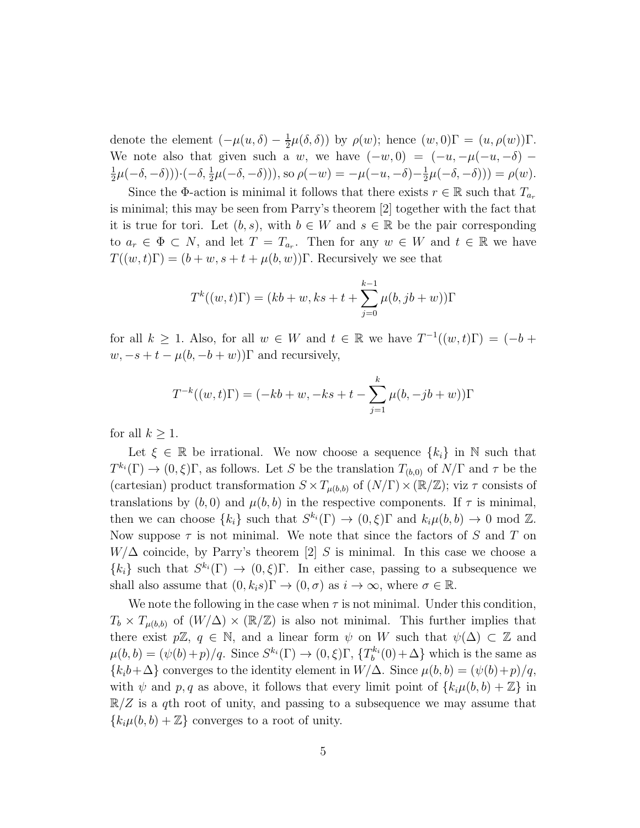denote the element  $(-\mu(u,\delta) - \frac{1}{2})$  $\frac{1}{2}\mu(\delta,\delta)$ ) by  $\rho(w)$ ; hence  $(w,0)\Gamma = (u,\rho(w))\Gamma$ . We note also that given such a w, we have  $(-w, 0) = (-u, -\mu(-u, -\delta) -$ 1  $(\frac{1}{2}\mu(-\delta, -\delta))) \cdot (-\delta, \frac{1}{2}\mu(-\delta, -\delta))),$  so  $\rho(-w) = -\mu(-u, -\delta) - \frac{1}{2}\delta$  $\frac{1}{2}\mu(-\delta,-\delta))) = \rho(w).$ 

Since the  $\Phi$ -action is minimal it follows that there exists  $r \in \mathbb{R}$  such that  $T_{a_r}$ is minimal; this may be seen from Parry's theorem [2] together with the fact that it is true for tori. Let  $(b, s)$ , with  $b \in W$  and  $s \in \mathbb{R}$  be the pair corresponding to  $a_r \in \Phi \subset N$ , and let  $T = T_{a_r}$ . Then for any  $w \in W$  and  $t \in \mathbb{R}$  we have  $T((w, t)\Gamma) = (b + w, s + t + \mu(b, w))\Gamma$ . Recursively we see that

$$
T^{k}((w,t)\Gamma) = (kb+w, ks+t+\sum_{j=0}^{k-1} \mu(b, jb+w))\Gamma
$$

for all  $k \geq 1$ . Also, for all  $w \in W$  and  $t \in \mathbb{R}$  we have  $T^{-1}((w, t)\Gamma) = (-b +$  $w, -s + t - \mu(b, -b + w)$ ) and recursively,

$$
T^{-k}((w,t)\Gamma) = (-kb+w, -ks+t-\sum_{j=1}^{k} \mu(b, -jb+w))\Gamma
$$

for all  $k \geq 1$ .

Let  $\xi \in \mathbb{R}$  be irrational. We now choose a sequence  $\{k_i\}$  in N such that  $T^{k_i}(\Gamma) \to (0,\xi)\Gamma$ , as follows. Let S be the translation  $T_{(b,0)}$  of  $N/\Gamma$  and  $\tau$  be the (cartesian) product transformation  $S \times T_{\mu(b,b)}$  of  $(N/\Gamma) \times (\mathbb{R}/\mathbb{Z})$ ; viz  $\tau$  consists of translations by  $(b, 0)$  and  $\mu(b, b)$  in the respective components. If  $\tau$  is minimal, then we can choose  $\{k_i\}$  such that  $S^{k_i}(\Gamma) \to (0,\xi)\Gamma$  and  $k_i\mu(b,b) \to 0 \text{ mod } \mathbb{Z}$ . Now suppose  $\tau$  is not minimal. We note that since the factors of S and T on  $W/\Delta$  coincide, by Parry's theorem [2] S is minimal. In this case we choose a  ${k_i}$  such that  $S^{k_i}(\Gamma) \to (0,\xi)\Gamma$ . In either case, passing to a subsequence we shall also assume that  $(0, k_i s) \Gamma \to (0, \sigma)$  as  $i \to \infty$ , where  $\sigma \in \mathbb{R}$ .

We note the following in the case when  $\tau$  is not minimal. Under this condition,  $T_b \times T_{\mu(b,b)}$  of  $(W/\Delta) \times (\mathbb{R}/\mathbb{Z})$  is also not minimal. This further implies that there exist  $p\mathbb{Z}, q \in \mathbb{N}$ , and a linear form  $\psi$  on W such that  $\psi(\Delta) \subset \mathbb{Z}$  and  $\mu(b, b) = (\psi(b) + p)/q$ . Since  $S^{k_i}(\Gamma) \to (0, \xi)\Gamma, \{T_b^{k_i}\}$  $b_b^{k_i}(0) + \Delta$ } which is the same as  ${k_i b+\Delta}$  converges to the identity element in  $W/\Delta$ . Since  $\mu(b, b) = (\psi(b)+p)/q$ , with  $\psi$  and p, q as above, it follows that every limit point of  $\{k_i\mu(b, b) + \mathbb{Z}\}\$  in  $\mathbb{R}/Z$  is a qth root of unity, and passing to a subsequence we may assume that  ${k_i\mu(b, b) + \mathbb{Z}}$  converges to a root of unity.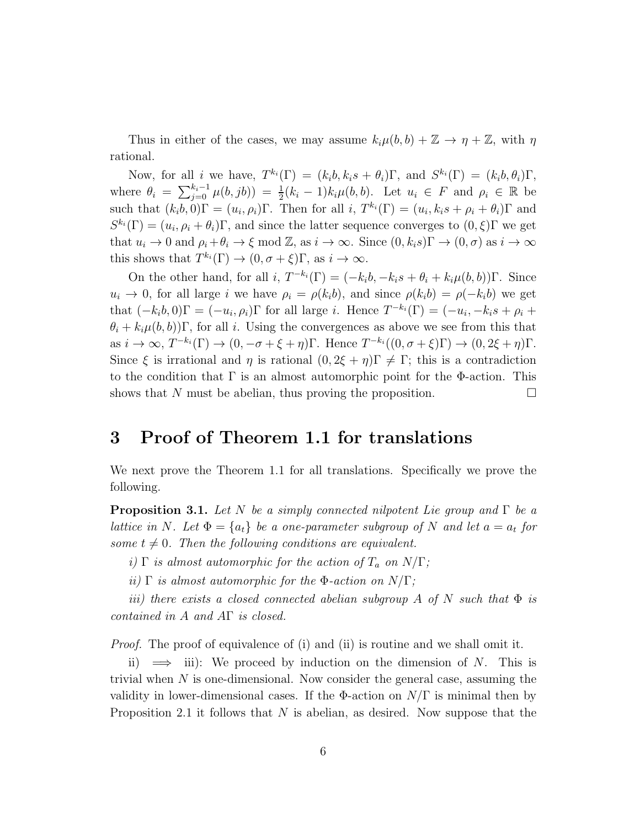Thus in either of the cases, we may assume  $k_i\mu(b, b) + \mathbb{Z} \to \eta + \mathbb{Z}$ , with  $\eta$ rational.

Now, for all *i* we have,  $T^{k_i}(\Gamma) = (k_i b, k_i s + \theta_i) \Gamma$ , and  $S^{k_i}(\Gamma) = (k_i b, \theta_i) \Gamma$ , where  $\theta_i = \sum_{j=0}^{k_i-1} \mu(b, jb) = \frac{1}{2}(k_i - 1)k_i\mu(b, b)$ . Let  $u_i \in F$  and  $\rho_i \in \mathbb{R}$  be such that  $(k_i b, 0) \Gamma = (u_i, \rho_i) \Gamma$ . Then for all  $i, T^{k_i}(\Gamma) = (u_i, k_i s + \rho_i + \theta_i) \Gamma$  and  $S^{k_i}(\Gamma) = (u_i, \rho_i + \theta_i)\Gamma$ , and since the latter sequence converges to  $(0, \xi)\Gamma$  we get that  $u_i \to 0$  and  $\rho_i + \theta_i \to \xi \mod \mathbb{Z}$ , as  $i \to \infty$ . Since  $(0, k_i s) \Gamma \to (0, \sigma)$  as  $i \to \infty$ this shows that  $T^{k_i}(\Gamma) \to (0, \sigma + \xi)\Gamma$ , as  $i \to \infty$ .

On the other hand, for all i,  $T^{-k_i}(\Gamma) = (-k_i b, -k_i s + \theta_i + k_i \mu(b, b))\Gamma$ . Since  $u_i \to 0$ , for all large i we have  $\rho_i = \rho(k_i b)$ , and since  $\rho(k_i b) = \rho(-k_i b)$  we get that  $(-k_i b, 0)$  $\Gamma = (-u_i, \rho_i)$  $\Gamma$  for all large *i*. Hence  $T^{-k_i}(\Gamma) = (-u_i, -k_i s + \rho_i +$  $\theta_i + k_i \mu(b, b)$ )Γ, for all i. Using the convergences as above we see from this that as  $i \to \infty$ ,  $T^{-k_i}(\Gamma) \to (0, -\sigma + \xi + \eta)\Gamma$ . Hence  $T^{-k_i}((0, \sigma + \xi)\Gamma) \to (0, 2\xi + \eta)\Gamma$ . Since  $\xi$  is irrational and  $\eta$  is rational  $(0, 2\xi + \eta)\Gamma \neq \Gamma$ ; this is a contradiction to the condition that  $\Gamma$  is an almost automorphic point for the  $\Phi$ -action. This shows that N must be abelian, thus proving the proposition.  $\Box$ 

#### 3 Proof of Theorem 1.1 for translations

We next prove the Theorem 1.1 for all translations. Specifically we prove the following.

**Proposition 3.1.** Let N be a simply connected nilpotent Lie group and  $\Gamma$  be a lattice in N. Let  $\Phi = \{a_t\}$  be a one-parameter subgroup of N and let  $a = a_t$  for some  $t \neq 0$ . Then the following conditions are equivalent.

i)  $\Gamma$  is almost automorphic for the action of  $T_a$  on  $N/\Gamma$ ;

ii)  $\Gamma$  is almost automorphic for the  $\Phi$ -action on  $N/\Gamma$ ;

iii) there exists a closed connected abelian subgroup A of N such that  $\Phi$  is contained in A and AΓ is closed.

*Proof.* The proof of equivalence of (i) and (ii) is routine and we shall omit it.

ii)  $\implies$  iii): We proceed by induction on the dimension of N. This is trivial when N is one-dimensional. Now consider the general case, assuming the validity in lower-dimensional cases. If the  $\Phi$ -action on  $N/\Gamma$  is minimal then by Proposition 2.1 it follows that  $N$  is abelian, as desired. Now suppose that the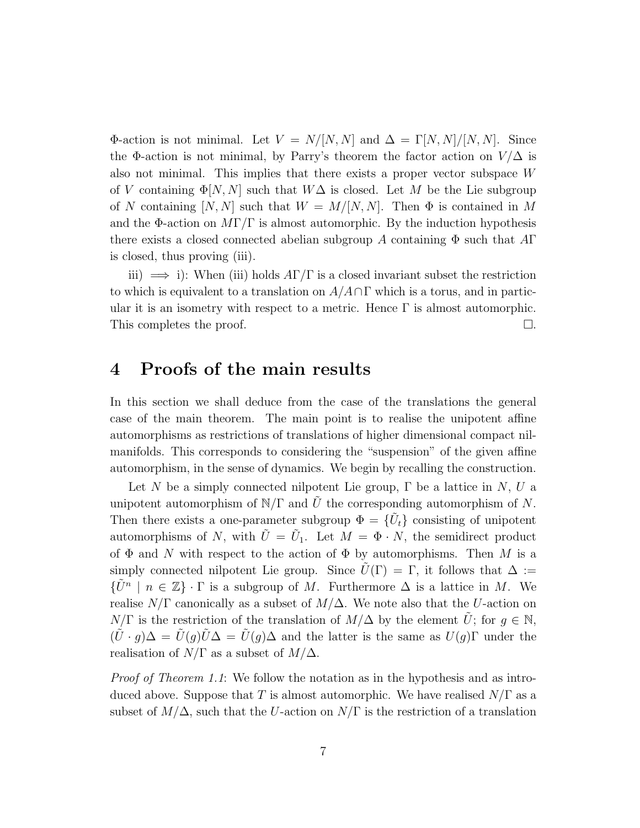Φ-action is not minimal. Let  $V = N/[N, N]$  and  $\Delta = \Gamma[N, N]/[N, N]$ . Since the Φ-action is not minimal, by Parry's theorem the factor action on  $V/\Delta$  is also not minimal. This implies that there exists a proper vector subspace W of V containing  $\Phi[N, N]$  such that  $W\Delta$  is closed. Let M be the Lie subgroup of N containing  $[N, N]$  such that  $W = M/[N, N]$ . Then  $\Phi$  is contained in M and the  $\Phi$ -action on  $MT/\Gamma$  is almost automorphic. By the induction hypothesis there exists a closed connected abelian subgroup A containing  $\Phi$  such that  $A\Gamma$ is closed, thus proving (iii).

iii)  $\implies$  i): When (iii) holds  $A\Gamma/\Gamma$  is a closed invariant subset the restriction to which is equivalent to a translation on  $A/A\cap\Gamma$  which is a torus, and in particular it is an isometry with respect to a metric. Hence  $\Gamma$  is almost automorphic. This completes the proof.  $\Box$ 

#### 4 Proofs of the main results

In this section we shall deduce from the case of the translations the general case of the main theorem. The main point is to realise the unipotent affine automorphisms as restrictions of translations of higher dimensional compact nilmanifolds. This corresponds to considering the "suspension" of the given affine automorphism, in the sense of dynamics. We begin by recalling the construction.

Let N be a simply connected nilpotent Lie group,  $\Gamma$  be a lattice in N, U a unipotent automorphism of  $N/\Gamma$  and U the corresponding automorphism of N. Then there exists a one-parameter subgroup  $\Phi = \{U_t\}$  consisting of unipotent automorphisms of N, with  $\tilde{U} = \tilde{U}_1$ . Let  $M = \Phi \cdot N$ , the semidirect product of  $\Phi$  and N with respect to the action of  $\Phi$  by automorphisms. Then M is a simply connected nilpotent Lie group. Since  $\tilde{U}(\Gamma) = \Gamma$ , it follows that  $\Delta :=$  $\{\tilde{U}^n \mid n \in \mathbb{Z}\}\cdot \Gamma$  is a subgroup of M. Furthermore  $\Delta$  is a lattice in M. We realise  $N/\Gamma$  canonically as a subset of  $M/\Delta$ . We note also that the U-action on  $N/\Gamma$  is the restriction of the translation of  $M/\Delta$  by the element  $\tilde{U}$ ; for  $g \in \mathbb{N}$ ,  $(\tilde{U}\cdot g)\Delta = \tilde{U}(g)\tilde{U}\Delta = \tilde{U}(g)\Delta$  and the latter is the same as  $U(g)\Gamma$  under the realisation of  $N/\Gamma$  as a subset of  $M/\Delta$ .

Proof of Theorem 1.1: We follow the notation as in the hypothesis and as introduced above. Suppose that T is almost automorphic. We have realised  $N/\Gamma$  as a subset of  $M/\Delta$ , such that the U-action on  $N/\Gamma$  is the restriction of a translation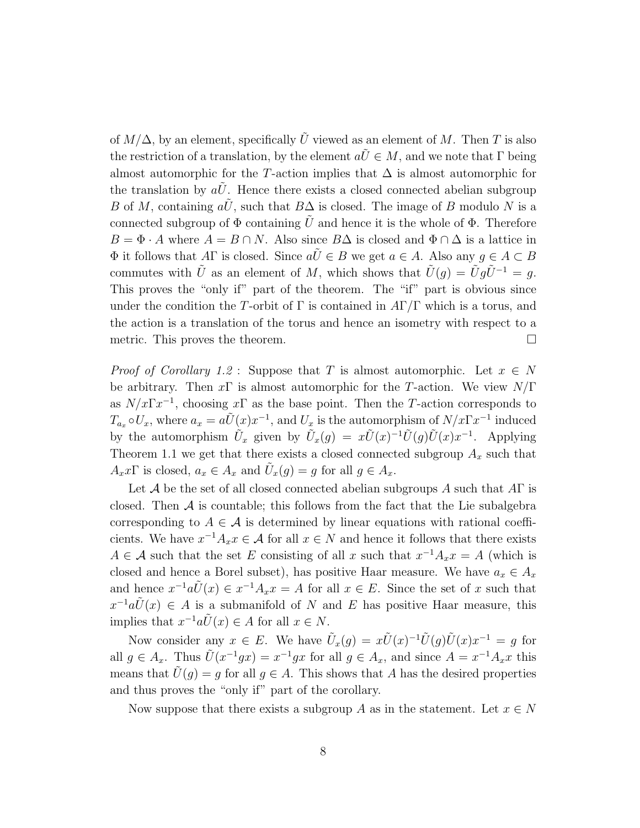of  $M/\Delta$ , by an element, specifically  $\tilde{U}$  viewed as an element of M. Then T is also the restriction of a translation, by the element  $a\tilde{U} \in M$ , and we note that  $\Gamma$  being almost automorphic for the T-action implies that  $\Delta$  is almost automorphic for the translation by  $aU$ . Hence there exists a closed connected abelian subgroup B of M, containing  $a\tilde{U}$ , such that  $B\Delta$  is closed. The image of B modulo N is a connected subgroup of  $\Phi$  containing U and hence it is the whole of  $\Phi$ . Therefore  $B = \Phi \cdot A$  where  $A = B \cap N$ . Also since  $B\Delta$  is closed and  $\Phi \cap \Delta$  is a lattice in  $\Phi$  it follows that AΓ is closed. Since  $a\tilde{U} \in B$  we get  $a \in A$ . Also any  $q \in A \subset B$ commutes with  $\tilde{U}$  as an element of M, which shows that  $\tilde{U}(g) = \tilde{U}g\tilde{U}^{-1} = g$ . This proves the "only if" part of the theorem. The "if" part is obvious since under the condition the T-orbit of  $\Gamma$  is contained in  $A\Gamma/\Gamma$  which is a torus, and the action is a translation of the torus and hence an isometry with respect to a metric. This proves the theorem.  $\Box$ 

*Proof of Corollary 1.2* : Suppose that T is almost automorphic. Let  $x \in N$ be arbitrary. Then  $x\Gamma$  is almost automorphic for the T-action. We view  $N/\Gamma$ as  $N/x\Gamma x^{-1}$ , choosing x $\Gamma$  as the base point. Then the T-action corresponds to  $T_{a_x} \circ U_x$ , where  $a_x = a\tilde{U}(x)x^{-1}$ , and  $U_x$  is the automorphism of  $N/x\Gamma x^{-1}$  induced by the automorphism  $\tilde{U}_x$  given by  $\tilde{U}_x(g) = x \tilde{U}(x)^{-1} \tilde{U}(g) \tilde{U}(x) x^{-1}$ . Applying Theorem 1.1 we get that there exists a closed connected subgroup  $A_x$  such that  $A_x x \Gamma$  is closed,  $a_x \in A_x$  and  $\tilde{U}_x(g) = g$  for all  $g \in A_x$ .

Let A be the set of all closed connected abelian subgroups A such that  $A\Gamma$  is closed. Then  $A$  is countable; this follows from the fact that the Lie subalgebra corresponding to  $A \in \mathcal{A}$  is determined by linear equations with rational coefficients. We have  $x^{-1}A_x x \in \mathcal{A}$  for all  $x \in N$  and hence it follows that there exists  $A \in \mathcal{A}$  such that the set E consisting of all x such that  $x^{-1}A_x x = A$  (which is closed and hence a Borel subset), has positive Haar measure. We have  $a_x \in A_x$ and hence  $x^{-1}a\tilde{U}(x) \in x^{-1}A_x x = A$  for all  $x \in E$ . Since the set of x such that  $x^{-1}a\tilde{U}(x) \in A$  is a submanifold of N and E has positive Haar measure, this implies that  $x^{-1}a\tilde{U}(x) \in A$  for all  $x \in N$ .

Now consider any  $x \in E$ . We have  $\tilde{U}_x(g) = x\tilde{U}(x)^{-1}\tilde{U}(g)\tilde{U}(x)x^{-1} = g$  for all  $g \in A_x$ . Thus  $\tilde{U}(x^{-1}gx) = x^{-1}gx$  for all  $g \in A_x$ , and since  $A = x^{-1}A_xx$  this means that  $\tilde{U}(q) = q$  for all  $q \in A$ . This shows that A has the desired properties and thus proves the "only if" part of the corollary.

Now suppose that there exists a subgroup A as in the statement. Let  $x \in N$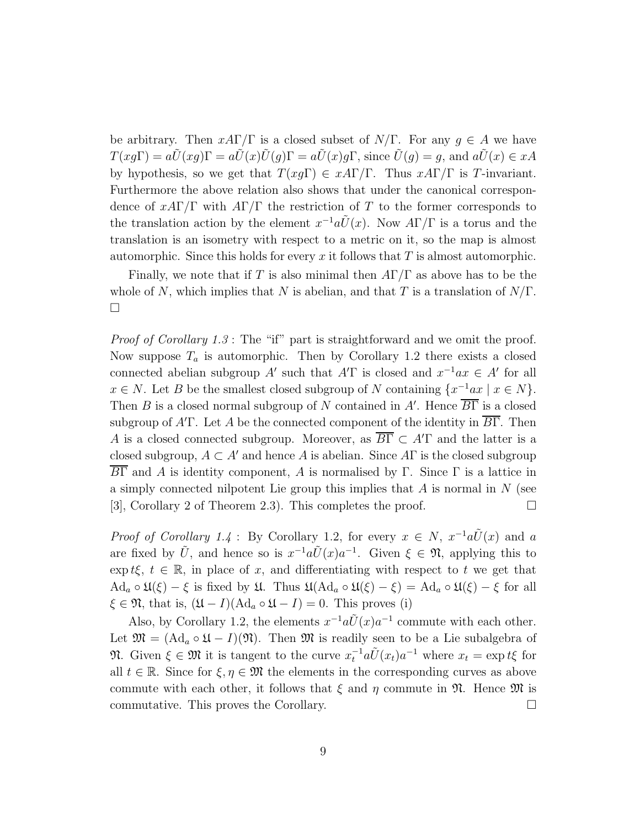be arbitrary. Then  $xA\Gamma/\Gamma$  is a closed subset of  $N/\Gamma$ . For any  $q \in A$  we have  $T(xq\Gamma) = a\tilde{U}(xq)\Gamma = a\tilde{U}(x)\tilde{U}(q)\Gamma = a\tilde{U}(x)q\Gamma$ , since  $\tilde{U}(q) = q$ , and  $a\tilde{U}(x) \in xA$ by hypothesis, so we get that  $T(xg\Gamma) \in xA\Gamma/\Gamma$ . Thus  $xA\Gamma/\Gamma$  is T-invariant. Furthermore the above relation also shows that under the canonical correspondence of  $xA\Gamma/\Gamma$  with  $A\Gamma/\Gamma$  the restriction of T to the former corresponds to the translation action by the element  $x^{-1}a\tilde{U}(x)$ . Now  $A\Gamma/\Gamma$  is a torus and the translation is an isometry with respect to a metric on it, so the map is almost automorphic. Since this holds for every  $x$  it follows that  $T$  is almost automorphic.

Finally, we note that if T is also minimal then  $A\Gamma/\Gamma$  as above has to be the whole of N, which implies that N is abelian, and that T is a translation of  $N/\Gamma$ .  $\Box$ 

Proof of Corollary 1.3: The "if" part is straightforward and we omit the proof. Now suppose  $T_a$  is automorphic. Then by Corollary 1.2 there exists a closed connected abelian subgroup A' such that A'T is closed and  $x^{-1}ax \in A'$  for all  $x \in N$ . Let B be the smallest closed subgroup of N containing  $\{x^{-1}ax \mid x \in N\}$ . Then B is a closed normal subgroup of N contained in A'. Hence  $\overline{B\Gamma}$  is a closed subgroup of  $A'$  Let A be the connected component of the identity in  $\overline{B\Gamma}$ . Then A is a closed connected subgroup. Moreover, as  $\overline{B\Gamma} \subset A'\Gamma$  and the latter is a closed subgroup,  $A \subset A'$  and hence A is abelian. Since AF is the closed subgroup BΓ and A is identity component, A is normalised by Γ. Since Γ is a lattice in a simply connected nilpotent Lie group this implies that  $A$  is normal in  $N$  (see [3], Corollary 2 of Theorem 2.3). This completes the proof.  $\Box$ 

*Proof of Corollary 1.4* : By Corollary 1.2, for every  $x \in N$ ,  $x^{-1}a\tilde{U}(x)$  and a are fixed by  $\tilde{U}$ , and hence so is  $x^{-1}a\tilde{U}(x)a^{-1}$ . Given  $\xi \in \mathfrak{N}$ , applying this to exp t $\xi, t \in \mathbb{R}$ , in place of x, and differentiating with respect to t we get that  $\text{Ad}_a \circ \mathfrak{U}(\xi) - \xi$  is fixed by  $\mathfrak{U}$ . Thus  $\mathfrak{U}(\text{Ad}_a \circ \mathfrak{U}(\xi) - \xi) = \text{Ad}_a \circ \mathfrak{U}(\xi) - \xi$  for all  $\xi \in \mathfrak{N}$ , that is,  $(\mathfrak{U} - I)(\text{Ad}_a \circ \mathfrak{U} - I) = 0$ . This proves (i)

Also, by Corollary 1.2, the elements  $x^{-1}a\tilde{U}(x)a^{-1}$  commute with each other. Let  $\mathfrak{M} = (\mathrm{Ad}_a \circ \mathfrak{U} - I)(\mathfrak{N})$ . Then  $\mathfrak{M}$  is readily seen to be a Lie subalgebra of **N.** Given  $\xi \in \mathfrak{M}$  it is tangent to the curve  $x_t^{-1} a \tilde{U}(x_t) a^{-1}$  where  $x_t = \exp t \xi$  for all  $t \in \mathbb{R}$ . Since for  $\xi, \eta \in \mathfrak{M}$  the elements in the corresponding curves as above commute with each other, it follows that  $\xi$  and  $\eta$  commute in  $\mathfrak{N}$ . Hence  $\mathfrak{M}$  is commutative. This proves the Corollary.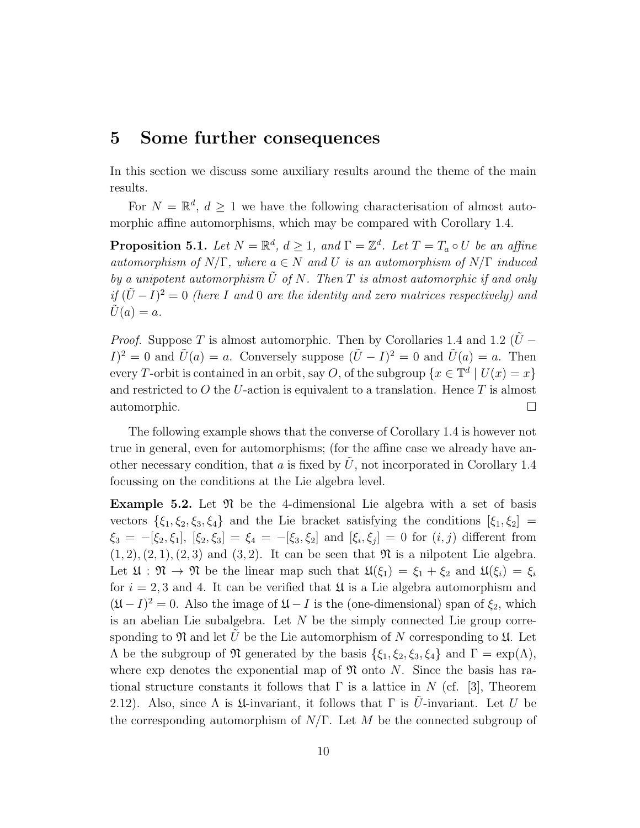#### 5 Some further consequences

In this section we discuss some auxiliary results around the theme of the main results.

For  $N = \mathbb{R}^d$ ,  $d \geq 1$  we have the following characterisation of almost automorphic affine automorphisms, which may be compared with Corollary 1.4.

**Proposition 5.1.** Let  $N = \mathbb{R}^d$ ,  $d \geq 1$ , and  $\Gamma = \mathbb{Z}^d$ . Let  $T = T_a \circ U$  be an affine automorphism of  $N/\Gamma$ , where  $a \in N$  and U is an automorphism of  $N/\Gamma$  induced by a unipotent automorphism  $\tilde{U}$  of N. Then T is almost automorphic if and only if  $(U – I)<sup>2</sup> = 0$  (here I and 0 are the identity and zero matrices respectively) and  $\tilde{U}(a) = a.$ 

*Proof.* Suppose T is almost automorphic. Then by Corollaries 1.4 and 1.2 ( $\tilde{U}$  –  $I)^2 = 0$  and  $\tilde{U}(a) = a$ . Conversely suppose  $(\tilde{U} - I)^2 = 0$  and  $\tilde{U}(a) = a$ . Then every T-orbit is contained in an orbit, say O, of the subgroup  $\{x \in \mathbb{T}^d \mid U(x) = x\}$ and restricted to  $O$  the U-action is equivalent to a translation. Hence  $T$  is almost automorphic.

The following example shows that the converse of Corollary 1.4 is however not true in general, even for automorphisms; (for the affine case we already have another necessary condition, that  $a$  is fixed by  $U$ , not incorporated in Corollary 1.4 focussing on the conditions at the Lie algebra level.

**Example 5.2.** Let  $\mathfrak{N}$  be the 4-dimensional Lie algebra with a set of basis vectors  $\{\xi_1, \xi_2, \xi_3, \xi_4\}$  and the Lie bracket satisfying the conditions  $[\xi_1, \xi_2]$  =  $\xi_3 = -[\xi_2, \xi_1], [\xi_2, \xi_3] = \xi_4 = -[\xi_3, \xi_2] \text{ and } [\xi_i, \xi_j] = 0 \text{ for } (i, j) \text{ different from }$  $(1, 2), (2, 1), (2, 3)$  and  $(3, 2)$ . It can be seen that  $\mathfrak{N}$  is a nilpotent Lie algebra. Let  $\mathfrak{U} : \mathfrak{N} \to \mathfrak{N}$  be the linear map such that  $\mathfrak{U}(\xi_1) = \xi_1 + \xi_2$  and  $\mathfrak{U}(\xi_i) = \xi_i$ for  $i = 2, 3$  and 4. It can be verified that  $\mathfrak U$  is a Lie algebra automorphism and  $(\mathfrak{U} - I)^2 = 0$ . Also the image of  $\mathfrak{U} - I$  is the (one-dimensional) span of  $\xi_2$ , which is an abelian Lie subalgebra. Let  $N$  be the simply connected Lie group corresponding to  $\mathfrak N$  and let U be the Lie automorphism of N corresponding to  $\mathfrak U$ . Let  $\Lambda$  be the subgroup of  $\mathfrak N$  generated by the basis  $\{\xi_1, \xi_2, \xi_3, \xi_4\}$  and  $\Gamma = \exp(\Lambda)$ , where exp denotes the exponential map of  $\mathfrak N$  onto N. Since the basis has rational structure constants it follows that  $\Gamma$  is a lattice in N (cf. [3], Theorem 2.12). Also, since  $\Lambda$  is  $\mathfrak U$ -invariant, it follows that  $\Gamma$  is U-invariant. Let U be the corresponding automorphism of  $N/\Gamma$ . Let M be the connected subgroup of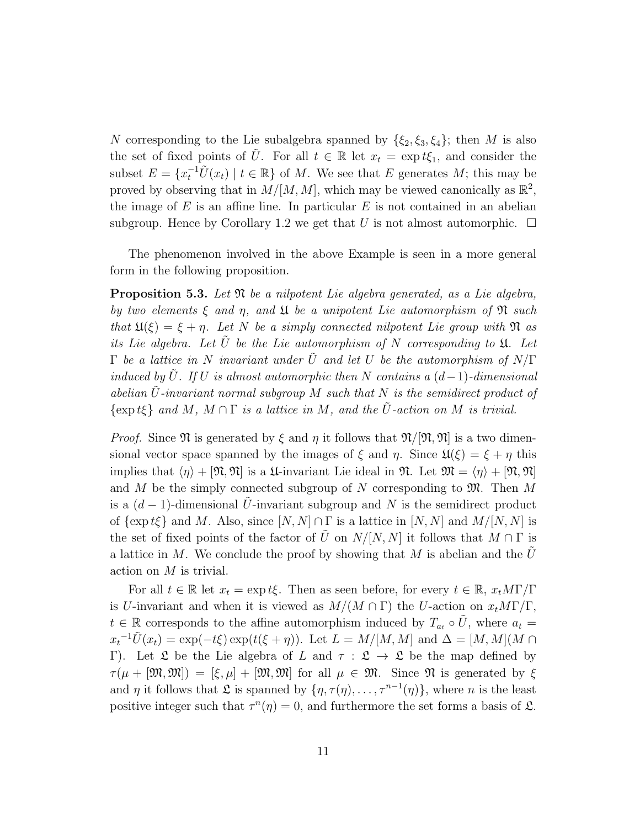N corresponding to the Lie subalgebra spanned by  $\{\xi_2, \xi_3, \xi_4\}$ ; then M is also the set of fixed points of  $\tilde{U}$ . For all  $t \in \mathbb{R}$  let  $x_t = \exp t\xi_1$ , and consider the subset  $E = \{x_t^{-1}\tilde{U}(x_t) \mid t \in \mathbb{R}\}\$  of M. We see that E generates M; this may be proved by observing that in  $M/[M, M]$ , which may be viewed canonically as  $\mathbb{R}^2$ , the image of  $E$  is an affine line. In particular  $E$  is not contained in an abelian subgroup. Hence by Corollary 1.2 we get that U is not almost automorphic.  $\Box$ 

The phenomenon involved in the above Example is seen in a more general form in the following proposition.

**Proposition 5.3.** Let  $\mathfrak{N}$  be a nilpotent Lie algebra generated, as a Lie algebra, by two elements  $\xi$  and  $\eta$ , and  $\mathfrak U$  be a unipotent Lie automorphism of  $\mathfrak N$  such that  $\mathfrak{U}(\xi) = \xi + \eta$ . Let N be a simply connected nilpotent Lie group with  $\mathfrak{N}$  as its Lie algebra. Let U be the Lie automorphism of N corresponding to  $\mathfrak{U}$ . Let  $\Gamma$  be a lattice in N invariant under  $\tilde{U}$  and let U be the automorphism of  $N/\Gamma$ induced by  $\tilde{U}$ . If U is almost automorphic then N contains a  $(d-1)$ -dimensional abelian  $\tilde{U}$ -invariant normal subgroup M such that N is the semidirect product of  $\{\exp t\xi\}$  and M,  $M \cap \Gamma$  is a lattice in M, and the  $\tilde{U}$ -action on M is trivial.

*Proof.* Since  $\mathfrak N$  is generated by  $\xi$  and  $\eta$  it follows that  $\mathfrak N/\mathfrak N, \mathfrak N$  is a two dimensional vector space spanned by the images of  $\xi$  and  $\eta$ . Since  $\mathfrak{U}(\xi) = \xi + \eta$  this implies that  $\langle \eta \rangle + [\mathfrak{N}, \mathfrak{N}]$  is a  $\mathfrak{U}$ -invariant Lie ideal in  $\mathfrak{N}$ . Let  $\mathfrak{M} = \langle \eta \rangle + [\mathfrak{N}, \mathfrak{N}]$ and M be the simply connected subgroup of N corresponding to  $\mathfrak{M}$ . Then M is a  $(d-1)$ -dimensional U-invariant subgroup and N is the semidirect product of  $\{\exp t\xi\}$  and M. Also, since  $[N, N] \cap \Gamma$  is a lattice in  $[N, N]$  and  $M/[N, N]$  is the set of fixed points of the factor of  $\tilde{U}$  on  $N/[N, N]$  it follows that  $M \cap \Gamma$  is a lattice in M. We conclude the proof by showing that M is abelian and the  $U$ action on M is trivial.

For all  $t \in \mathbb{R}$  let  $x_t = \exp t \xi$ . Then as seen before, for every  $t \in \mathbb{R}$ ,  $x_t M \Gamma / \Gamma$ is U-invariant and when it is viewed as  $M/(M \cap \Gamma)$  the U-action on  $x_t M \Gamma / \Gamma$ ,  $t \in \mathbb{R}$  corresponds to the affine automorphism induced by  $T_{a_t} \circ \tilde{U}$ , where  $a_t =$  $x_t^{-1}\tilde{U}(x_t) = \exp(-t\xi) \exp(t(\xi + \eta))$ . Let  $L = M/[M, M]$  and  $\Delta = [M, M](M \cap$ Γ). Let  $\mathfrak L$  be the Lie algebra of L and  $\tau : \mathfrak L \to \mathfrak L$  be the map defined by  $\tau(\mu + [\mathfrak{M},\mathfrak{M}]) = [\xi,\mu] + [\mathfrak{M},\mathfrak{M}]$  for all  $\mu \in \mathfrak{M}$ . Since  $\mathfrak{N}$  is generated by  $\xi$ and  $\eta$  it follows that  $\mathfrak L$  is spanned by  $\{\eta, \tau(\eta), \ldots, \tau^{n-1}(\eta)\}\,$ , where n is the least positive integer such that  $\tau^{n}(\eta) = 0$ , and furthermore the set forms a basis of  $\mathfrak{L}$ .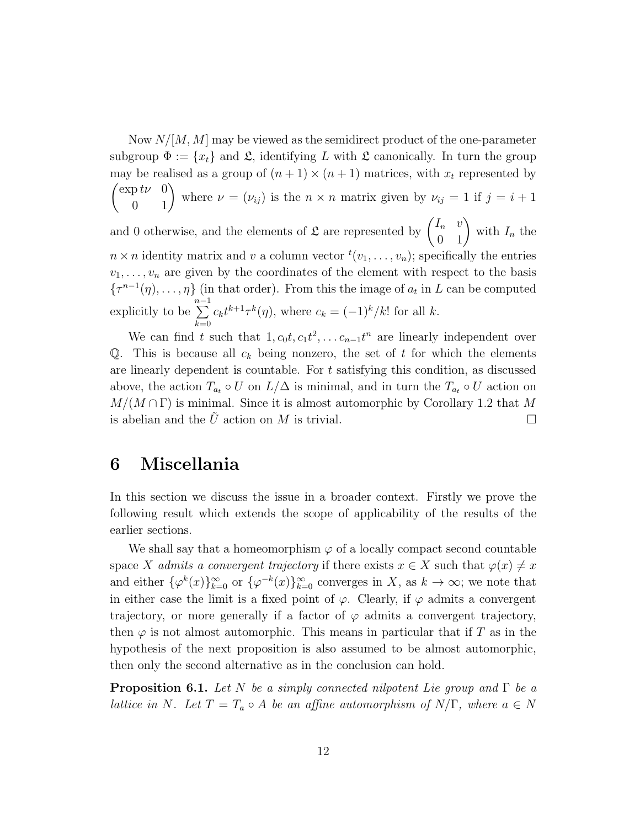Now  $N/[M, M]$  may be viewed as the semidirect product of the one-parameter subgroup  $\Phi := \{x_t\}$  and  $\mathfrak{L}$ , identifying L with  $\mathfrak{L}$  canonically. In turn the group may be realised as a group of  $(n + 1) \times (n + 1)$  matrices, with  $x_t$  represented by  $\begin{pmatrix} \exp t\nu & 0 \\ 0 & 1 \end{pmatrix}$  where  $\nu = (\nu_{ij})$  is the  $n \times n$  matrix given by  $\nu_{ij} = 1$  if  $j = i + 1$ and 0 otherwise, and the elements of  $\mathfrak{L}$  are represented by  $\begin{pmatrix} I_n & v \\ 0 & 1 \end{pmatrix}$  with  $I_n$  the  $n \times n$  identity matrix and v a column vector  ${}^{t}(v_1, \ldots, v_n)$ ; specifically the entries  $v_1, \ldots, v_n$  are given by the coordinates of the element with respect to the basis  $\{\tau^{n-1}(\eta), \ldots, \eta\}$  (in that order). From this the image of  $a_t$  in L can be computed explicitly to be  $\sum^{n-1}$  $_{k=0}$  $c_k t^{k+1} \tau^k(\eta)$ , where  $c_k = (-1)^k / k!$  for all k.

We can find t such that  $1, c_0t, c_1t^2, \ldots c_{n-1}t^n$  are linearly independent over Q. This is because all  $c_k$  being nonzero, the set of t for which the elements are linearly dependent is countable. For  $t$  satisfying this condition, as discussed above, the action  $T_{a_t} \circ U$  on  $L/\Delta$  is minimal, and in turn the  $T_{a_t} \circ U$  action on  $M/(M \cap \Gamma)$  is minimal. Since it is almost automorphic by Corollary 1.2 that M is abelian and the  $\tilde{U}$  action on M is trivial.

### 6 Miscellania

In this section we discuss the issue in a broader context. Firstly we prove the following result which extends the scope of applicability of the results of the earlier sections.

We shall say that a homeomorphism  $\varphi$  of a locally compact second countable space X admits a convergent trajectory if there exists  $x \in X$  such that  $\varphi(x) \neq x$ and either  $\{\varphi^k(x)\}_{k=0}^{\infty}$  or  $\{\varphi^{-k}(x)\}_{k=0}^{\infty}$  converges in X, as  $k \to \infty$ ; we note that in either case the limit is a fixed point of  $\varphi$ . Clearly, if  $\varphi$  admits a convergent trajectory, or more generally if a factor of  $\varphi$  admits a convergent trajectory, then  $\varphi$  is not almost automorphic. This means in particular that if T as in the hypothesis of the next proposition is also assumed to be almost automorphic, then only the second alternative as in the conclusion can hold.

**Proposition 6.1.** Let N be a simply connected nilpotent Lie group and  $\Gamma$  be a lattice in N. Let  $T = T_a \circ A$  be an affine automorphism of  $N/\Gamma$ , where  $a \in N$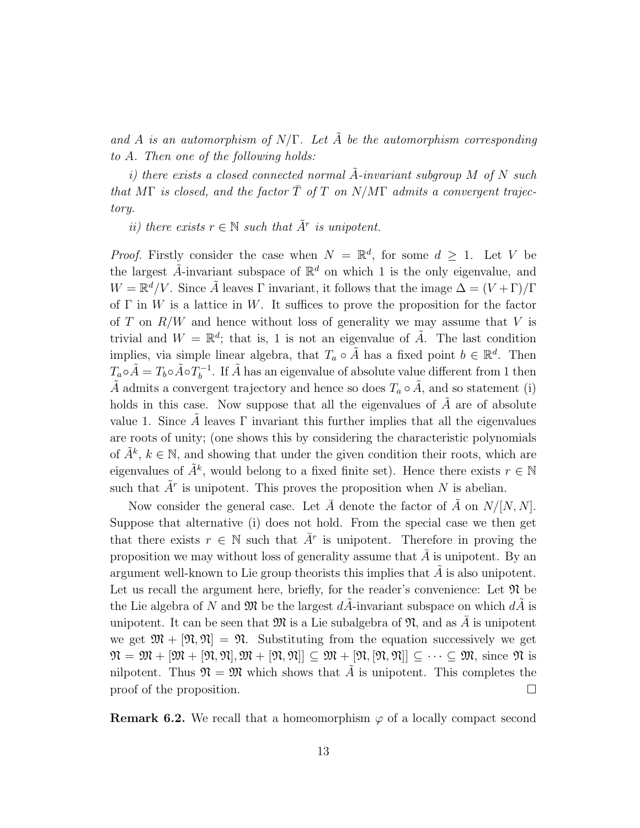and A is an automorphism of  $N/\Gamma$ . Let A be the automorphism corresponding to A. Then one of the following holds:

i) there exists a closed connected normal A-invariant subgroup  $M$  of  $N$  such that MΓ is closed, and the factor  $\overline{T}$  of T on N/MΓ admits a convergent trajectory.

ii) there exists  $r \in \mathbb{N}$  such that  $\tilde{A}^r$  is unipotent.

*Proof.* Firstly consider the case when  $N = \mathbb{R}^d$ , for some  $d \geq 1$ . Let V be the largest  $\tilde{A}$ -invariant subspace of  $\mathbb{R}^d$  on which 1 is the only eigenvalue, and  $W = \mathbb{R}^d / V$ . Since  $\tilde{A}$  leaves  $\Gamma$  invariant, it follows that the image  $\Delta = (V + \Gamma)/\Gamma$ of  $\Gamma$  in W is a lattice in W. It suffices to prove the proposition for the factor of T on  $R/W$  and hence without loss of generality we may assume that V is trivial and  $W = \mathbb{R}^d$ ; that is, 1 is not an eigenvalue of  $\tilde{A}$ . The last condition implies, via simple linear algebra, that  $T_a \circ \tilde{A}$  has a fixed point  $b \in \mathbb{R}^d$ . Then  $T_a \circ \tilde{A} = T_b \circ \tilde{A} \circ T_b^{-1}$  $b^{-1}$ . If  $\tilde{A}$  has an eigenvalue of absolute value different from 1 then  $\tilde{A}$  admits a convergent trajectory and hence so does  $T_a \circ \tilde{A}$ , and so statement (i) holds in this case. Now suppose that all the eigenvalues of  $\ddot{A}$  are of absolute value 1. Since A leaves  $\Gamma$  invariant this further implies that all the eigenvalues are roots of unity; (one shows this by considering the characteristic polynomials of  $\tilde{A}^k$ ,  $k \in \mathbb{N}$ , and showing that under the given condition their roots, which are eigenvalues of  $\tilde{A}^k$ , would belong to a fixed finite set). Hence there exists  $r \in \mathbb{N}$ such that  $\tilde{A}^r$  is unipotent. This proves the proposition when N is abelian.

Now consider the general case. Let  $\overline{A}$  denote the factor of  $\overline{A}$  on  $N/[N, N]$ . Suppose that alternative (i) does not hold. From the special case we then get that there exists  $r \in \mathbb{N}$  such that  $\overline{A}^r$  is unipotent. Therefore in proving the proposition we may without loss of generality assume that  $A$  is unipotent. By an argument well-known to Lie group theorists this implies that  $A$  is also unipotent. Let us recall the argument here, briefly, for the reader's convenience: Let  $\mathfrak{N}$  be the Lie algebra of N and  $\mathfrak{M}$  be the largest  $dA$ -invariant subspace on which  $dA$  is unipotent. It can be seen that  $\mathfrak{M}$  is a Lie subalgebra of  $\mathfrak{N}$ , and as A is unipotent we get  $\mathfrak{M} + [\mathfrak{N}, \mathfrak{N}] = \mathfrak{N}$ . Substituting from the equation successively we get  $\mathfrak{N} = \mathfrak{M} + [\mathfrak{M}, \mathfrak{N}], \mathfrak{M} + [\mathfrak{N}, \mathfrak{N}] \subseteq \mathfrak{M} + [\mathfrak{N}, [\mathfrak{N}, \mathfrak{N}]] \subseteq \cdots \subseteq \mathfrak{M},$  since  $\mathfrak{N}$  is nilpotent. Thus  $\mathfrak{N} = \mathfrak{M}$  which shows that A is unipotent. This completes the proof of the proposition.  $\Box$ 

**Remark 6.2.** We recall that a homeomorphism  $\varphi$  of a locally compact second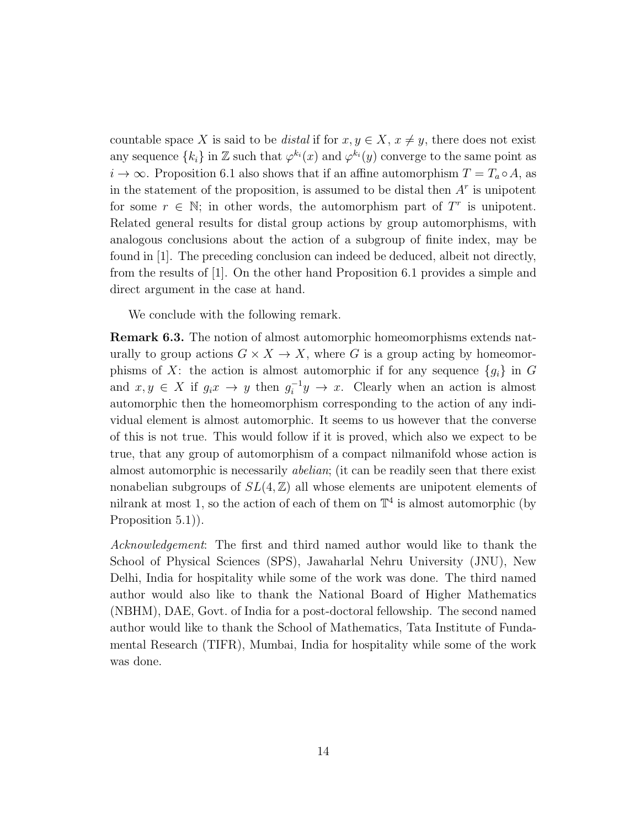countable space X is said to be *distal* if for  $x, y \in X$ ,  $x \neq y$ , there does not exist any sequence  $\{k_i\}$  in  $\mathbb Z$  such that  $\varphi^{k_i}(x)$  and  $\varphi^{k_i}(y)$  converge to the same point as  $i \to \infty$ . Proposition 6.1 also shows that if an affine automorphism  $T = T_a \circ A$ , as in the statement of the proposition, is assumed to be distal then  $A<sup>r</sup>$  is unipotent for some  $r \in \mathbb{N}$ ; in other words, the automorphism part of  $T^r$  is unipotent. Related general results for distal group actions by group automorphisms, with analogous conclusions about the action of a subgroup of finite index, may be found in [1]. The preceding conclusion can indeed be deduced, albeit not directly, from the results of [1]. On the other hand Proposition 6.1 provides a simple and direct argument in the case at hand.

We conclude with the following remark.

Remark 6.3. The notion of almost automorphic homeomorphisms extends naturally to group actions  $G \times X \to X$ , where G is a group acting by homeomorphisms of X: the action is almost automorphic if for any sequence  ${g_i}$  in G and  $x, y \in X$  if  $g_i x \to y$  then  $g_i^{-1} y \to x$ . Clearly when an action is almost automorphic then the homeomorphism corresponding to the action of any individual element is almost automorphic. It seems to us however that the converse of this is not true. This would follow if it is proved, which also we expect to be true, that any group of automorphism of a compact nilmanifold whose action is almost automorphic is necessarily abelian; (it can be readily seen that there exist nonabelian subgroups of  $SL(4, \mathbb{Z})$  all whose elements are unipotent elements of nilrank at most 1, so the action of each of them on  $\mathbb{T}^4$  is almost automorphic (by Proposition 5.1)).

Acknowledgement: The first and third named author would like to thank the School of Physical Sciences (SPS), Jawaharlal Nehru University (JNU), New Delhi, India for hospitality while some of the work was done. The third named author would also like to thank the National Board of Higher Mathematics (NBHM), DAE, Govt. of India for a post-doctoral fellowship. The second named author would like to thank the School of Mathematics, Tata Institute of Fundamental Research (TIFR), Mumbai, India for hospitality while some of the work was done.